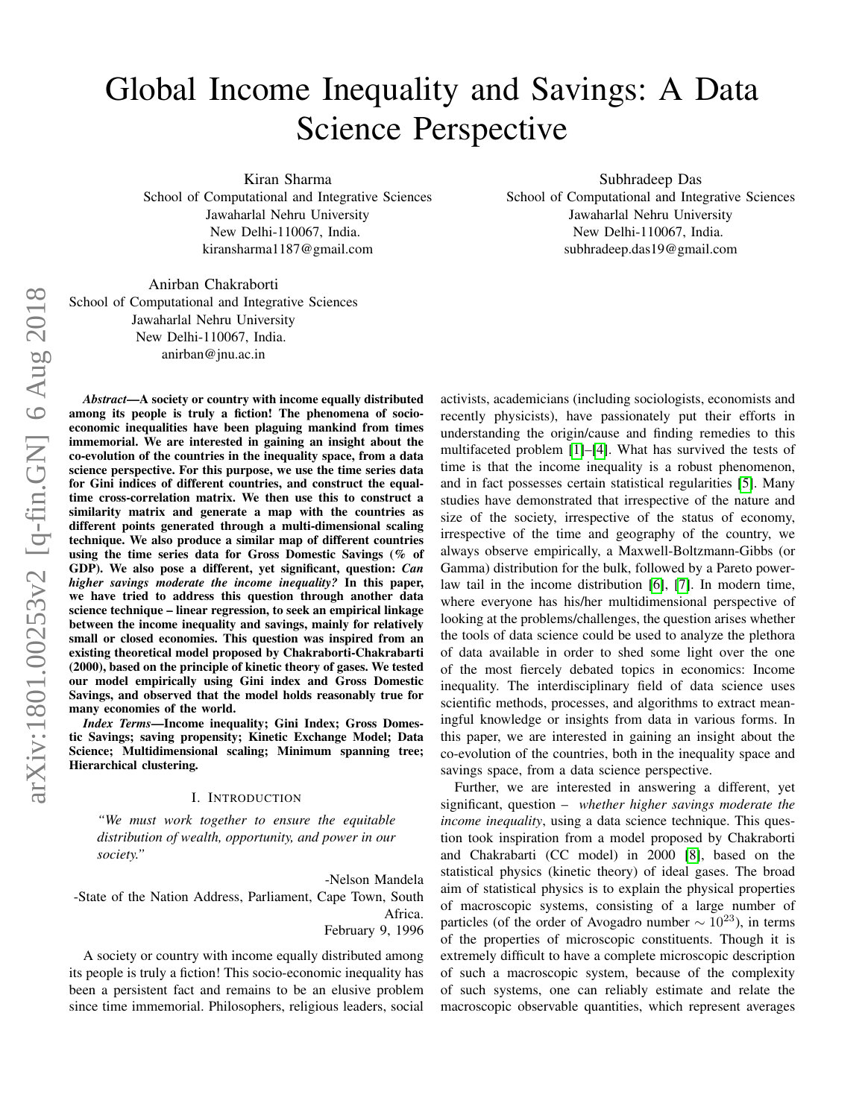# Global Income Inequality and Savings: A Data Science Perspective

Kiran Sharma

School of Computational and Integrative Sciences Jawaharlal Nehru University New Delhi-110067, India. kiransharma1187@gmail.com

Subhradeep Das School of Computational and Integrative Sciences Jawaharlal Nehru University New Delhi-110067, India. subhradeep.das19@gmail.com

Anirban Chakraborti School of Computational and Integrative Sciences Jawaharlal Nehru University New Delhi-110067, India. anirban@jnu.ac.in

arXiv:1801.00253v2 [q-fin.GN] 6 Aug 2018 arXiv:1801.00253v2 [q-fin.GN] 6 Aug 2018

*Abstract*—A society or country with income equally distributed among its people is truly a fiction! The phenomena of socioeconomic inequalities have been plaguing mankind from times immemorial. We are interested in gaining an insight about the co-evolution of the countries in the inequality space, from a data science perspective. For this purpose, we use the time series data for Gini indices of different countries, and construct the equaltime cross-correlation matrix. We then use this to construct a similarity matrix and generate a map with the countries as different points generated through a multi-dimensional scaling technique. We also produce a similar map of different countries using the time series data for Gross Domestic Savings (% of GDP). We also pose a different, yet significant, question: *Can higher savings moderate the income inequality?* In this paper, we have tried to address this question through another data science technique – linear regression, to seek an empirical linkage between the income inequality and savings, mainly for relatively small or closed economies. This question was inspired from an existing theoretical model proposed by Chakraborti-Chakrabarti (2000), based on the principle of kinetic theory of gases. We tested our model empirically using Gini index and Gross Domestic Savings, and observed that the model holds reasonably true for many economies of the world.

*Index Terms*—Income inequality; Gini Index; Gross Domestic Savings; saving propensity; Kinetic Exchange Model; Data Science; Multidimensional scaling; Minimum spanning tree; Hierarchical clustering.

# I. INTRODUCTION

*"We must work together to ensure the equitable distribution of wealth, opportunity, and power in our society."*

-Nelson Mandela -State of the Nation Address, Parliament, Cape Town, South Africa. February 9, 1996

A society or country with income equally distributed among its people is truly a fiction! This socio-economic inequality has been a persistent fact and remains to be an elusive problem since time immemorial. Philosophers, religious leaders, social activists, academicians (including sociologists, economists and recently physicists), have passionately put their efforts in understanding the origin/cause and finding remedies to this multifaceted problem [\[1\]](#page-6-0)–[\[4\]](#page-6-1). What has survived the tests of time is that the income inequality is a robust phenomenon, and in fact possesses certain statistical regularities [\[5\]](#page-6-2). Many studies have demonstrated that irrespective of the nature and size of the society, irrespective of the status of economy, irrespective of the time and geography of the country, we always observe empirically, a Maxwell-Boltzmann-Gibbs (or Gamma) distribution for the bulk, followed by a Pareto power-law tail in the income distribution [\[6\]](#page-6-3), [\[7\]](#page-6-4). In modern time, where everyone has his/her multidimensional perspective of looking at the problems/challenges, the question arises whether the tools of data science could be used to analyze the plethora of data available in order to shed some light over the one of the most fiercely debated topics in economics: Income inequality. The interdisciplinary field of data science uses scientific methods, processes, and algorithms to extract meaningful knowledge or insights from data in various forms. In this paper, we are interested in gaining an insight about the co-evolution of the countries, both in the inequality space and savings space, from a data science perspective.

Further, we are interested in answering a different, yet significant, question – *whether higher savings moderate the income inequality*, using a data science technique. This question took inspiration from a model proposed by Chakraborti and Chakrabarti (CC model) in 2000 [\[8\]](#page-6-5), based on the statistical physics (kinetic theory) of ideal gases. The broad aim of statistical physics is to explain the physical properties of macroscopic systems, consisting of a large number of particles (of the order of Avogadro number  $\sim 10^{23}$ ), in terms of the properties of microscopic constituents. Though it is extremely difficult to have a complete microscopic description of such a macroscopic system, because of the complexity of such systems, one can reliably estimate and relate the macroscopic observable quantities, which represent averages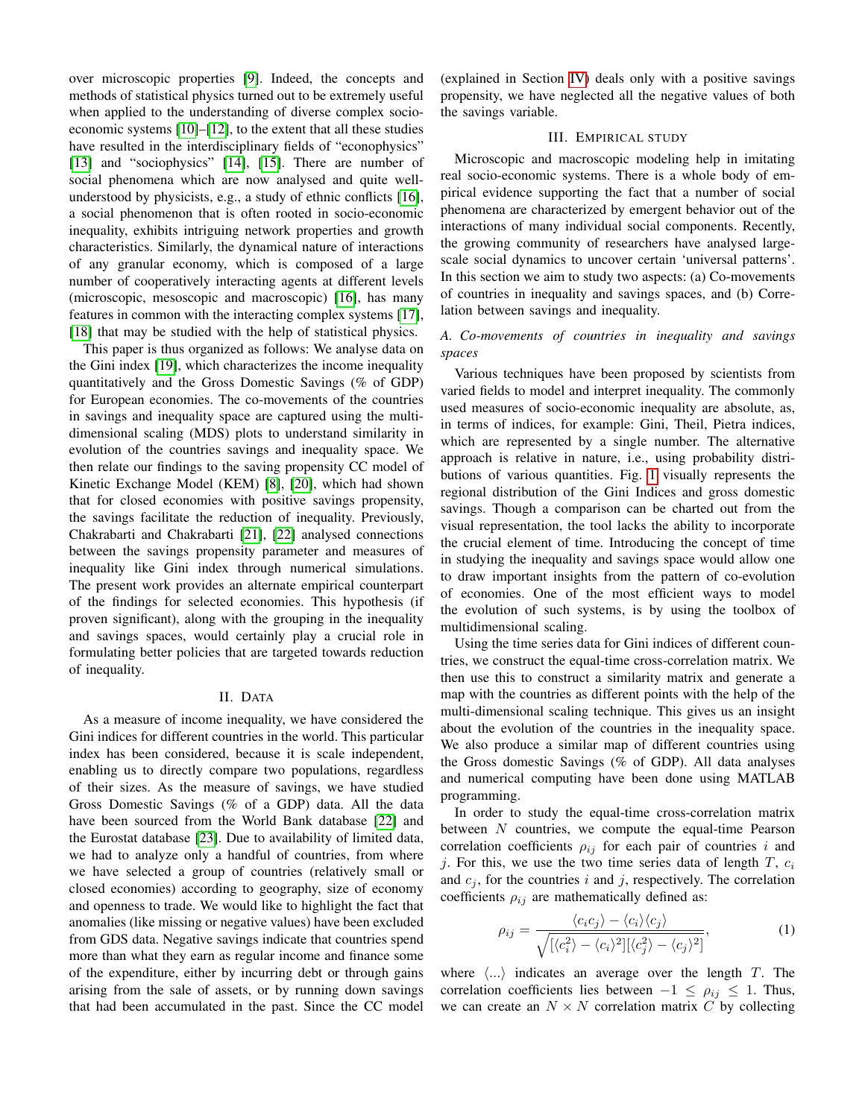over microscopic properties [\[9\]](#page-6-6). Indeed, the concepts and methods of statistical physics turned out to be extremely useful when applied to the understanding of diverse complex socioeconomic systems [\[10\]](#page-6-7)–[\[12\]](#page-6-8), to the extent that all these studies have resulted in the interdisciplinary fields of "econophysics" [\[13\]](#page-6-9) and "sociophysics" [\[14\]](#page-6-10), [\[15\]](#page-6-11). There are number of social phenomena which are now analysed and quite wellunderstood by physicists, e.g., a study of ethnic conflicts [\[16\]](#page-6-12), a social phenomenon that is often rooted in socio-economic inequality, exhibits intriguing network properties and growth characteristics. Similarly, the dynamical nature of interactions of any granular economy, which is composed of a large number of cooperatively interacting agents at different levels (microscopic, mesoscopic and macroscopic) [\[16\]](#page-6-12), has many features in common with the interacting complex systems [\[17\]](#page-7-0), [\[18\]](#page-7-1) that may be studied with the help of statistical physics.

This paper is thus organized as follows: We analyse data on the Gini index [\[19\]](#page-7-2), which characterizes the income inequality quantitatively and the Gross Domestic Savings (% of GDP) for European economies. The co-movements of the countries in savings and inequality space are captured using the multidimensional scaling (MDS) plots to understand similarity in evolution of the countries savings and inequality space. We then relate our findings to the saving propensity CC model of Kinetic Exchange Model (KEM) [\[8\]](#page-6-5), [\[20\]](#page-7-3), which had shown that for closed economies with positive savings propensity, the savings facilitate the reduction of inequality. Previously, Chakrabarti and Chakrabarti [\[21\]](#page-7-4), [\[22\]](#page-7-5) analysed connections between the savings propensity parameter and measures of inequality like Gini index through numerical simulations. The present work provides an alternate empirical counterpart of the findings for selected economies. This hypothesis (if proven significant), along with the grouping in the inequality and savings spaces, would certainly play a crucial role in formulating better policies that are targeted towards reduction of inequality.

## II. DATA

As a measure of income inequality, we have considered the Gini indices for different countries in the world. This particular index has been considered, because it is scale independent, enabling us to directly compare two populations, regardless of their sizes. As the measure of savings, we have studied Gross Domestic Savings (% of a GDP) data. All the data have been sourced from the World Bank database [\[22\]](#page-7-5) and the Eurostat database [\[23\]](#page-7-6). Due to availability of limited data, we had to analyze only a handful of countries, from where we have selected a group of countries (relatively small or closed economies) according to geography, size of economy and openness to trade. We would like to highlight the fact that anomalies (like missing or negative values) have been excluded from GDS data. Negative savings indicate that countries spend more than what they earn as regular income and finance some of the expenditure, either by incurring debt or through gains arising from the sale of assets, or by running down savings that had been accumulated in the past. Since the CC model (explained in Section [IV\)](#page-2-0) deals only with a positive savings propensity, we have neglected all the negative values of both the savings variable.

# III. EMPIRICAL STUDY

Microscopic and macroscopic modeling help in imitating real socio-economic systems. There is a whole body of empirical evidence supporting the fact that a number of social phenomena are characterized by emergent behavior out of the interactions of many individual social components. Recently, the growing community of researchers have analysed largescale social dynamics to uncover certain 'universal patterns'. In this section we aim to study two aspects: (a) Co-movements of countries in inequality and savings spaces, and (b) Correlation between savings and inequality.

# *A. Co-movements of countries in inequality and savings spaces*

Various techniques have been proposed by scientists from varied fields to model and interpret inequality. The commonly used measures of socio-economic inequality are absolute, as, in terms of indices, for example: Gini, Theil, Pietra indices, which are represented by a single number. The alternative approach is relative in nature, i.e., using probability distributions of various quantities. Fig. [1](#page-3-0) visually represents the regional distribution of the Gini Indices and gross domestic savings. Though a comparison can be charted out from the visual representation, the tool lacks the ability to incorporate the crucial element of time. Introducing the concept of time in studying the inequality and savings space would allow one to draw important insights from the pattern of co-evolution of economies. One of the most efficient ways to model the evolution of such systems, is by using the toolbox of multidimensional scaling.

Using the time series data for Gini indices of different countries, we construct the equal-time cross-correlation matrix. We then use this to construct a similarity matrix and generate a map with the countries as different points with the help of the multi-dimensional scaling technique. This gives us an insight about the evolution of the countries in the inequality space. We also produce a similar map of different countries using the Gross domestic Savings (% of GDP). All data analyses and numerical computing have been done using MATLAB programming.

In order to study the equal-time cross-correlation matrix between  $N$  countries, we compute the equal-time Pearson correlation coefficients  $\rho_{ij}$  for each pair of countries i and j. For this, we use the two time series data of length  $T$ ,  $c_i$ and  $c_j$ , for the countries i and j, respectively. The correlation coefficients  $\rho_{ij}$  are mathematically defined as:

$$
\rho_{ij} = \frac{\langle c_i c_j \rangle - \langle c_i \rangle \langle c_j \rangle}{\sqrt{\left[ \langle c_i^2 \rangle - \langle c_i \rangle^2 \right] \left[ \langle c_j^2 \rangle - \langle c_j \rangle^2 \right]}},\tag{1}
$$

where  $\langle \ldots \rangle$  indicates an average over the length T. The correlation coefficients lies between  $-1 \leq \rho_{ij} \leq 1$ . Thus, we can create an  $N \times N$  correlation matrix C by collecting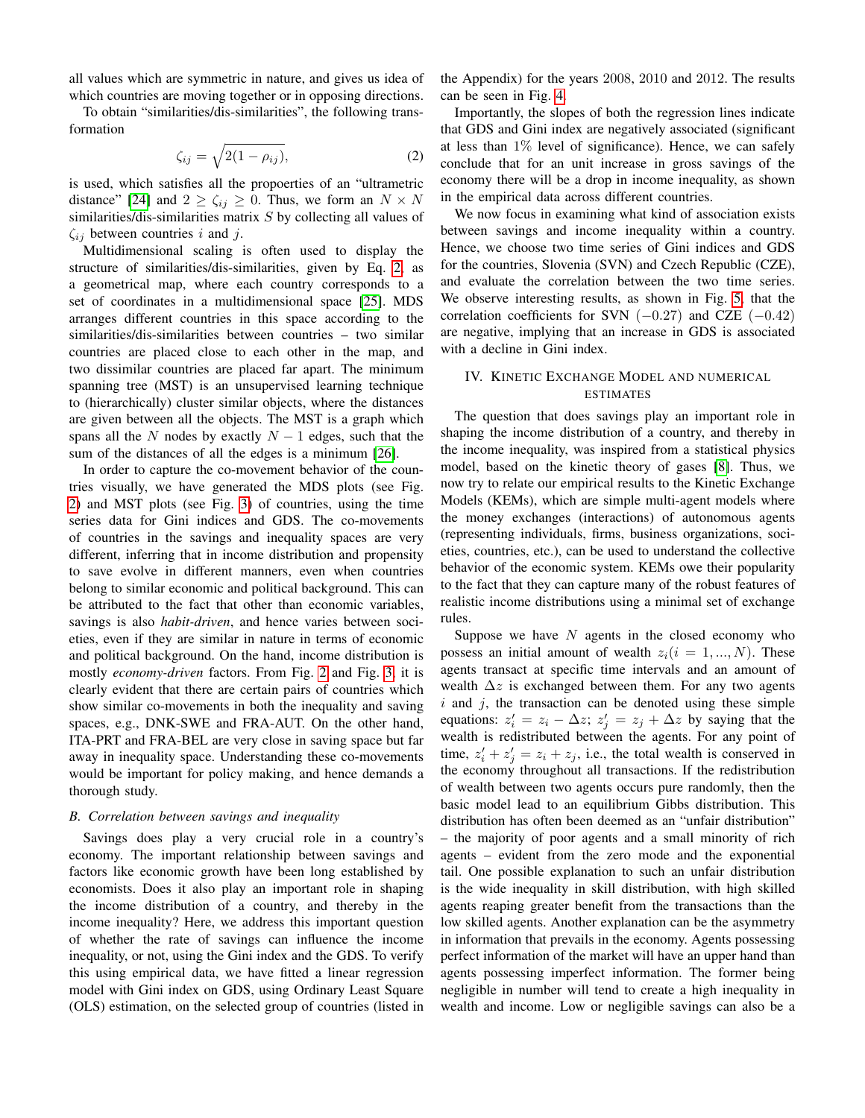all values which are symmetric in nature, and gives us idea of which countries are moving together or in opposing directions.

To obtain "similarities/dis-similarities", the following transformation

<span id="page-2-1"></span>
$$
\zeta_{ij} = \sqrt{2(1 - \rho_{ij})},\tag{2}
$$

is used, which satisfies all the propoerties of an "ultrametric distance" [\[24\]](#page-7-7) and  $2 \ge \zeta_{ij} \ge 0$ . Thus, we form an  $N \times N$ similarities/dis-similarities matrix  $S$  by collecting all values of  $\zeta_{ij}$  between countries i and j.

Multidimensional scaling is often used to display the structure of similarities/dis-similarities, given by Eq. [2,](#page-2-1) as a geometrical map, where each country corresponds to a set of coordinates in a multidimensional space [\[25\]](#page-7-8). MDS arranges different countries in this space according to the similarities/dis-similarities between countries – two similar countries are placed close to each other in the map, and two dissimilar countries are placed far apart. The minimum spanning tree (MST) is an unsupervised learning technique to (hierarchically) cluster similar objects, where the distances are given between all the objects. The MST is a graph which spans all the N nodes by exactly  $N - 1$  edges, such that the sum of the distances of all the edges is a minimum [\[26\]](#page-7-9).

In order to capture the co-movement behavior of the countries visually, we have generated the MDS plots (see Fig. [2\)](#page-4-0) and MST plots (see Fig. [3\)](#page-4-1) of countries, using the time series data for Gini indices and GDS. The co-movements of countries in the savings and inequality spaces are very different, inferring that in income distribution and propensity to save evolve in different manners, even when countries belong to similar economic and political background. This can be attributed to the fact that other than economic variables, savings is also *habit-driven*, and hence varies between societies, even if they are similar in nature in terms of economic and political background. On the hand, income distribution is mostly *economy-driven* factors. From Fig. [2](#page-4-0) and Fig. [3,](#page-4-1) it is clearly evident that there are certain pairs of countries which show similar co-movements in both the inequality and saving spaces, e.g., DNK-SWE and FRA-AUT. On the other hand, ITA-PRT and FRA-BEL are very close in saving space but far away in inequality space. Understanding these co-movements would be important for policy making, and hence demands a thorough study.

# *B. Correlation between savings and inequality*

Savings does play a very crucial role in a country's economy. The important relationship between savings and factors like economic growth have been long established by economists. Does it also play an important role in shaping the income distribution of a country, and thereby in the income inequality? Here, we address this important question of whether the rate of savings can influence the income inequality, or not, using the Gini index and the GDS. To verify this using empirical data, we have fitted a linear regression model with Gini index on GDS, using Ordinary Least Square (OLS) estimation, on the selected group of countries (listed in

the Appendix) for the years 2008, 2010 and 2012. The results can be seen in Fig. [4.](#page-5-0)

Importantly, the slopes of both the regression lines indicate that GDS and Gini index are negatively associated (significant at less than  $1\%$  level of significance). Hence, we can safely conclude that for an unit increase in gross savings of the economy there will be a drop in income inequality, as shown in the empirical data across different countries.

We now focus in examining what kind of association exists between savings and income inequality within a country. Hence, we choose two time series of Gini indices and GDS for the countries, Slovenia (SVN) and Czech Republic (CZE), and evaluate the correlation between the two time series. We observe interesting results, as shown in Fig. [5,](#page-5-1) that the correlation coefficients for SVN  $(-0.27)$  and CZE  $(-0.42)$ are negative, implying that an increase in GDS is associated with a decline in Gini index.

# <span id="page-2-0"></span>IV. KINETIC EXCHANGE MODEL AND NUMERICAL ESTIMATES

The question that does savings play an important role in shaping the income distribution of a country, and thereby in the income inequality, was inspired from a statistical physics model, based on the kinetic theory of gases [\[8\]](#page-6-5). Thus, we now try to relate our empirical results to the Kinetic Exchange Models (KEMs), which are simple multi-agent models where the money exchanges (interactions) of autonomous agents (representing individuals, firms, business organizations, societies, countries, etc.), can be used to understand the collective behavior of the economic system. KEMs owe their popularity to the fact that they can capture many of the robust features of realistic income distributions using a minimal set of exchange rules.

Suppose we have  $N$  agents in the closed economy who possess an initial amount of wealth  $z_i(i = 1, ..., N)$ . These agents transact at specific time intervals and an amount of wealth  $\Delta z$  is exchanged between them. For any two agents  $i$  and  $j$ , the transaction can be denoted using these simple equations:  $z_i' = z_i - \Delta z$ ;  $z_j' = z_j + \Delta z$  by saying that the wealth is redistributed between the agents. For any point of time,  $z'_i + z'_j = z_i + z_j$ , i.e., the total wealth is conserved in the economy throughout all transactions. If the redistribution of wealth between two agents occurs pure randomly, then the basic model lead to an equilibrium Gibbs distribution. This distribution has often been deemed as an "unfair distribution" – the majority of poor agents and a small minority of rich agents – evident from the zero mode and the exponential tail. One possible explanation to such an unfair distribution is the wide inequality in skill distribution, with high skilled agents reaping greater benefit from the transactions than the low skilled agents. Another explanation can be the asymmetry in information that prevails in the economy. Agents possessing perfect information of the market will have an upper hand than agents possessing imperfect information. The former being negligible in number will tend to create a high inequality in wealth and income. Low or negligible savings can also be a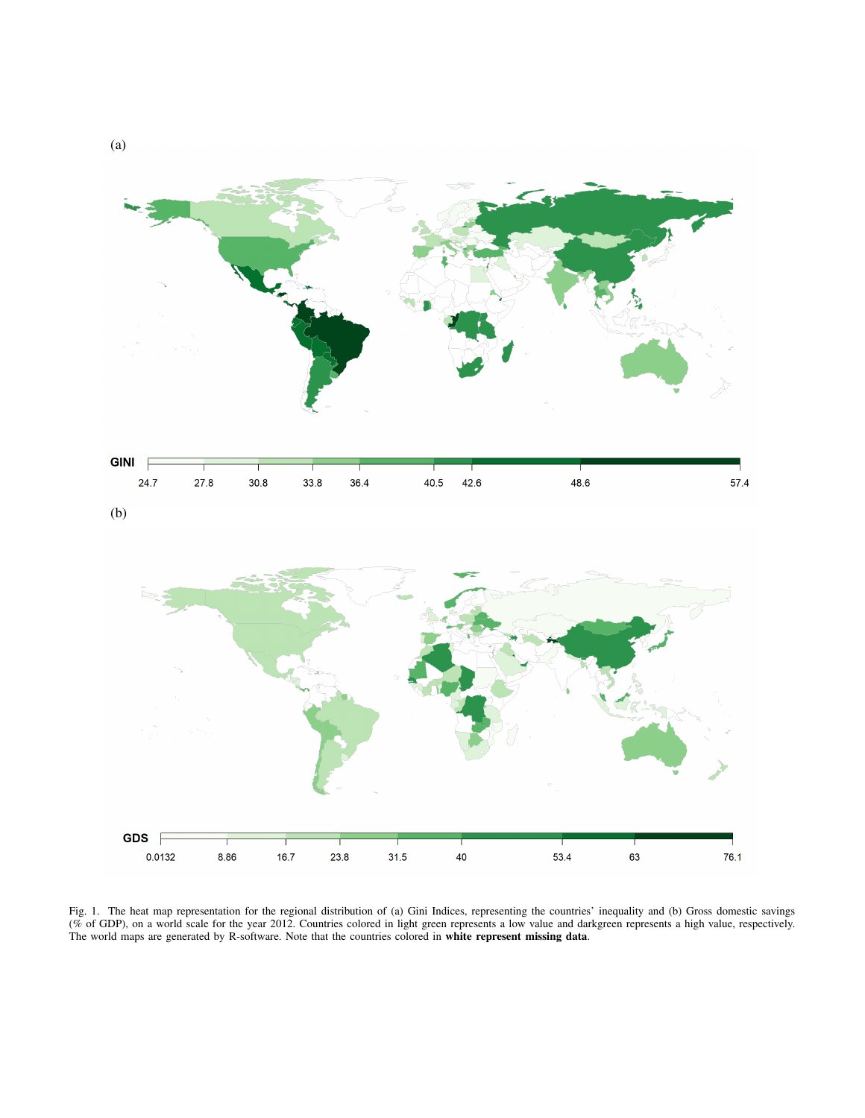

<span id="page-3-0"></span>Fig. 1. The heat map representation for the regional distribution of (a) Gini Indices, representing the countries' inequality and (b) Gross domestic savings (% of GDP), on a world scale for the year 2012. Countries colored in light green represents a low value and darkgreen represents a high value, respectively. The world maps are generated by R-software. Note that the countries colored in white represent missing data.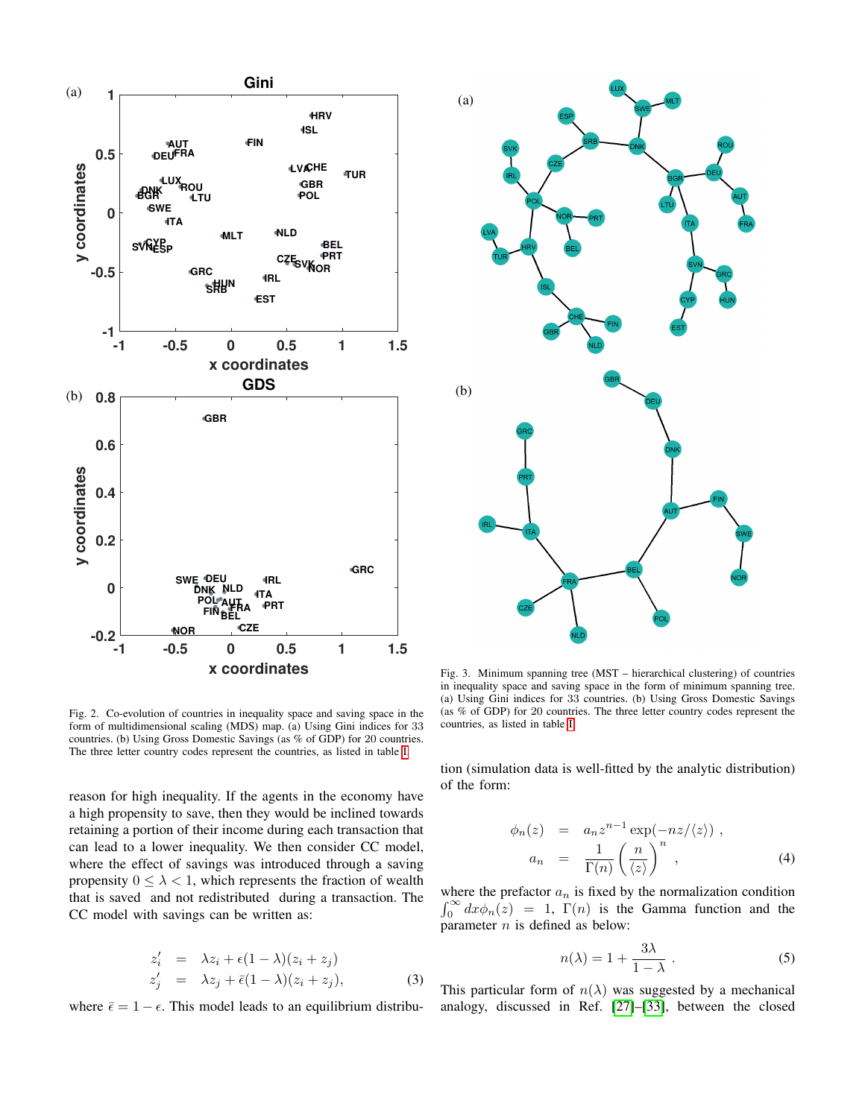

<span id="page-4-0"></span>Fig. 2. Co-evolution of countries in inequality space and saving space in the form of multidimensional scaling (MDS) map. (a) Using Gini indices for 33 countries. (b) Using Gross Domestic Savings (as % of GDP) for 20 countries. The three letter country codes represent the countries, as listed in table [I.](#page-6-13)

reason for high inequality. If the agents in the economy have a high propensity to save, then they would be inclined towards retaining a portion of their income during each transaction that can lead to a lower inequality. We then consider CC model, where the effect of savings was introduced through a saving propensity  $0 \leq \lambda < 1$ , which represents the fraction of wealth that is saved and not redistributed during a transaction. The CC model with savings can be written as:

$$
z'_{i} = \lambda z_{i} + \epsilon (1 - \lambda)(z_{i} + z_{j})
$$
  
\n
$$
z'_{j} = \lambda z_{j} + \bar{\epsilon}(1 - \lambda)(z_{i} + z_{j}),
$$
 (3)

where  $\bar{\epsilon} = 1 - \epsilon$ . This model leads to an equilibrium distribu-



<span id="page-4-1"></span>Fig. 3. Minimum spanning tree (MST – hierarchical clustering) of countries in inequality space and saving space in the form of minimum spanning tree. (a) Using Gini indices for 33 countries. (b) Using Gross Domestic Savings (as % of GDP) for 20 countries. The three letter country codes represent the countries, as listed in table [I.](#page-6-13)

tion (simulation data is well-fitted by the analytic distribution) of the form:

<span id="page-4-2"></span>
$$
\phi_n(z) = a_n z^{n-1} \exp(-nz/\langle z \rangle) ,
$$
  
\n
$$
a_n = \frac{1}{\Gamma(n)} \left(\frac{n}{\langle z \rangle}\right)^n ,
$$
\n(4)

where the prefactor  $a_n$  is fixed by the normalization condition  $\int_0^\infty dx \phi_n(z) = 1$ ,  $\Gamma(n)$  is the Gamma function and the parameter  $n$  is defined as below:

$$
n(\lambda) = 1 + \frac{3\lambda}{1 - \lambda} \ . \tag{5}
$$

This particular form of  $n(\lambda)$  was suggested by a mechanical analogy, discussed in Ref. [\[27\]](#page-7-10)–[\[33\]](#page-7-11), between the closed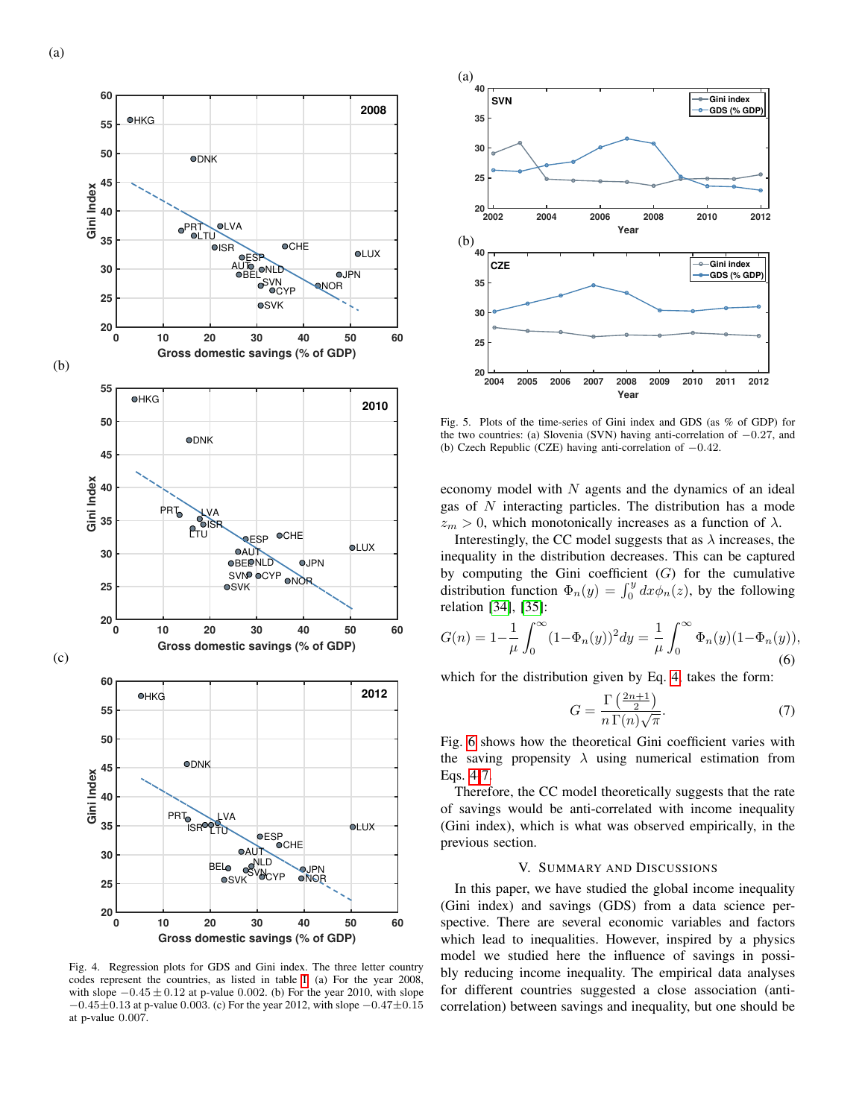

<span id="page-5-0"></span>Fig. 4. Regression plots for GDS and Gini index. The three letter country codes represent the countries, as listed in table [I.](#page-6-13) (a) For the year 2008, with slope  $-0.45 \pm 0.12$  at p-value 0.002. (b) For the year 2010, with slope  $-0.45\pm0.13$  at p-value 0.003. (c) For the year 2012, with slope  $-0.47\pm0.15$ at p-value 0.007.



<span id="page-5-1"></span>Fig. 5. Plots of the time-series of Gini index and GDS (as % of GDP) for the two countries: (a) Slovenia (SVN) having anti-correlation of −0.27, and (b) Czech Republic (CZE) having anti-correlation of −0.42.

economy model with  $N$  agents and the dynamics of an ideal gas of  $N$  interacting particles. The distribution has a mode  $z_m > 0$ , which monotonically increases as a function of  $\lambda$ .

Interestingly, the CC model suggests that as  $\lambda$  increases, the inequality in the distribution decreases. This can be captured by computing the Gini coefficient  $(G)$  for the cumulative distribution function  $\Phi_n(y) = \int_0^y dx \phi_n(z)$ , by the following relation [\[34\]](#page-7-12), [\[35\]](#page-7-13):

$$
G(n) = 1 - \frac{1}{\mu} \int_0^\infty (1 - \Phi_n(y))^2 dy = \frac{1}{\mu} \int_0^\infty \Phi_n(y) (1 - \Phi_n(y)),
$$
\n(6)

which for the distribution given by Eq. [4,](#page-4-2) takes the form:

<span id="page-5-2"></span>
$$
G = \frac{\Gamma\left(\frac{2n+1}{2}\right)}{n\,\Gamma(n)\sqrt{\pi}}.\tag{7}
$$

Fig. [6](#page-6-14) shows how the theoretical Gini coefficient varies with the saving propensity  $\lambda$  using numerical estimation from Eqs. [4](#page-4-2)[-7.](#page-5-2)

Therefore, the CC model theoretically suggests that the rate of savings would be anti-correlated with income inequality (Gini index), which is what was observed empirically, in the previous section.

## V. SUMMARY AND DISCUSSIONS

In this paper, we have studied the global income inequality (Gini index) and savings (GDS) from a data science perspective. There are several economic variables and factors which lead to inequalities. However, inspired by a physics model we studied here the influence of savings in possibly reducing income inequality. The empirical data analyses for different countries suggested a close association (anticorrelation) between savings and inequality, but one should be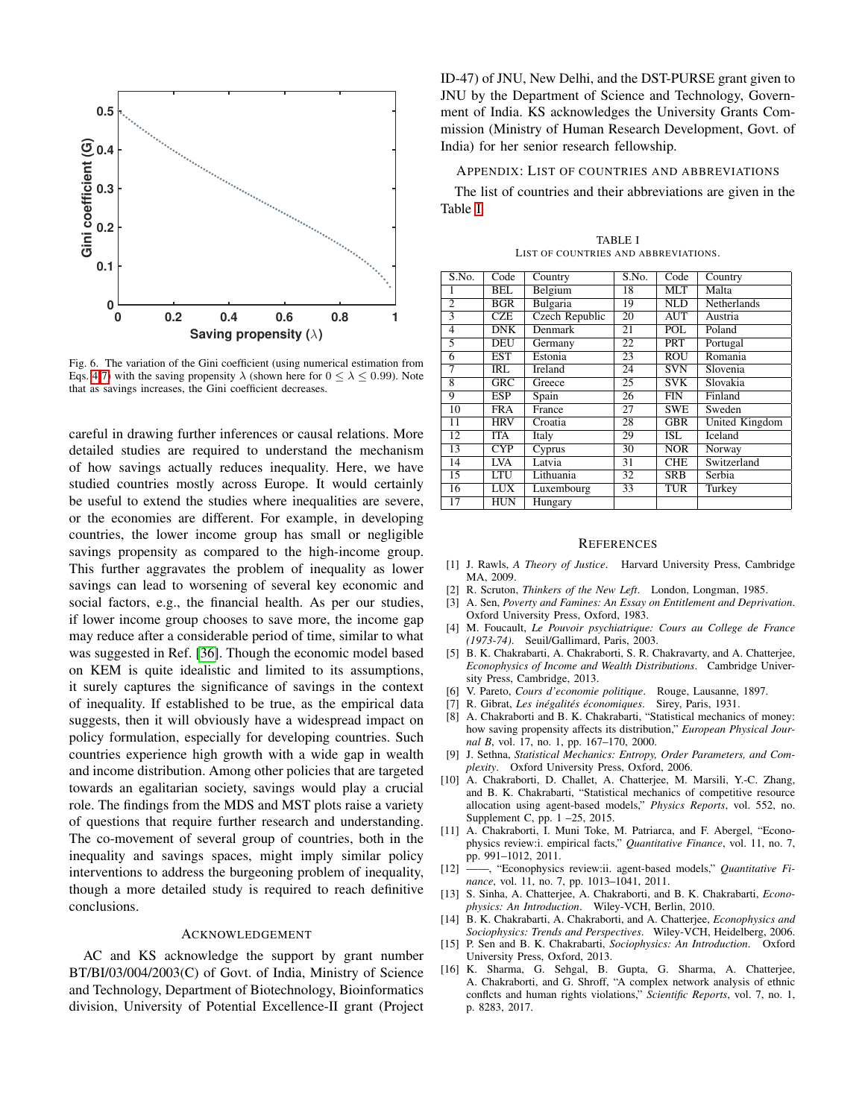

<span id="page-6-14"></span>Fig. 6. The variation of the Gini coefficient (using numerical estimation from Eqs. [4](#page-4-2)[-7\)](#page-5-2) with the saving propensity  $\lambda$  (shown here for  $0 \le \lambda \le 0.99$ ). Note that as savings increases, the Gini coefficient decreases.

careful in drawing further inferences or causal relations. More detailed studies are required to understand the mechanism of how savings actually reduces inequality. Here, we have studied countries mostly across Europe. It would certainly be useful to extend the studies where inequalities are severe, or the economies are different. For example, in developing countries, the lower income group has small or negligible savings propensity as compared to the high-income group. This further aggravates the problem of inequality as lower savings can lead to worsening of several key economic and social factors, e.g., the financial health. As per our studies, if lower income group chooses to save more, the income gap may reduce after a considerable period of time, similar to what was suggested in Ref. [\[36\]](#page-7-14). Though the economic model based on KEM is quite idealistic and limited to its assumptions, it surely captures the significance of savings in the context of inequality. If established to be true, as the empirical data suggests, then it will obviously have a widespread impact on policy formulation, especially for developing countries. Such countries experience high growth with a wide gap in wealth and income distribution. Among other policies that are targeted towards an egalitarian society, savings would play a crucial role. The findings from the MDS and MST plots raise a variety of questions that require further research and understanding. The co-movement of several group of countries, both in the inequality and savings spaces, might imply similar policy interventions to address the burgeoning problem of inequality, though a more detailed study is required to reach definitive conclusions.

#### ACKNOWLEDGEMENT

AC and KS acknowledge the support by grant number BT/BI/03/004/2003(C) of Govt. of India, Ministry of Science and Technology, Department of Biotechnology, Bioinformatics division, University of Potential Excellence-II grant (Project

ID-47) of JNU, New Delhi, and the DST-PURSE grant given to JNU by the Department of Science and Technology, Government of India. KS acknowledges the University Grants Commission (Ministry of Human Research Development, Govt. of India) for her senior research fellowship.

## APPENDIX: LIST OF COUNTRIES AND ABBREVIATIONS

The list of countries and their abbreviations are given in the Table [I.](#page-6-13)

<span id="page-6-13"></span>

| S.No.           | Code       | Country        | S.No.           | Code                      | Country        |
|-----------------|------------|----------------|-----------------|---------------------------|----------------|
| 1               | BEL        | Belgium        | 18              | <b>MLT</b>                | Malta          |
| $\overline{2}$  | BGR        | Bulgaria       | 19              | $\overline{\mathrm{NLD}}$ | Netherlands    |
| 3               | CZE        | Czech Republic | 20              | <b>AUT</b>                | Austria        |
| 4               | DNK        | <b>Denmark</b> | 21              | <b>POL</b>                | Poland         |
| 5               | <b>DEU</b> | Germany        | $\overline{22}$ | <b>PRT</b>                | Portugal       |
| 6               | <b>EST</b> | Estonia        | 23              | <b>ROU</b>                | Romania        |
| 7               | IRL        | Ireland        | 24              | <b>SVN</b>                | Slovenia       |
| $\overline{8}$  | GRC        | Greece         | $\overline{25}$ | <b>SVK</b>                | Slovakia       |
| 9               | <b>ESP</b> | Spain          | 26              | FIN                       | Finland        |
| 10              | <b>FRA</b> | France         | 27              | <b>SWE</b>                | Sweden         |
| 11              | <b>HRV</b> | Croatia        | 28              | GBR                       | United Kingdom |
| $\overline{12}$ | <b>ITA</b> | Italy          | 29              | <b>ISL</b>                | Iceland        |
| 13              | CYP        | Cyprus         | $\overline{30}$ | NOR                       | Norway         |
| 14              | <b>LVA</b> | Latvia         | 31              | <b>CHE</b>                | Switzerland    |
| 15              | LTU        | Lithuania      | $\overline{32}$ | <b>SRB</b>                | Serbia         |
| 16              | <b>LUX</b> | Luxembourg     | 33              | TUR                       | Turkey         |
| 17              | HUN        | Hungary        |                 |                           |                |

TABLE I LIST OF COUNTRIES AND ABBREVIATIONS.

#### **REFERENCES**

- <span id="page-6-0"></span>[1] J. Rawls, *A Theory of Justice*. Harvard University Press, Cambridge MA, 2009.
- [2] R. Scruton, *Thinkers of the New Left*. London, Longman, 1985.
- [3] A. Sen, *Poverty and Famines: An Essay on Entitlement and Deprivation*. Oxford University Press, Oxford, 1983.
- <span id="page-6-1"></span>[4] M. Foucault, *Le Pouvoir psychiatrique: Cours au College de France (1973-74)*. Seuil/Gallimard, Paris, 2003.
- <span id="page-6-2"></span>[5] B. K. Chakrabarti, A. Chakraborti, S. R. Chakravarty, and A. Chatterjee, *Econophysics of Income and Wealth Distributions*. Cambridge University Press, Cambridge, 2013.
- <span id="page-6-3"></span>[6] V. Pareto, *Cours d'economie politique*. Rouge, Lausanne, 1897.
- <span id="page-6-4"></span>[7] R. Gibrat, *Les inégalités économiques*. Sirey, Paris, 1931.
- <span id="page-6-5"></span>[8] A. Chakraborti and B. K. Chakrabarti, "Statistical mechanics of money: how saving propensity affects its distribution," *European Physical Journal B*, vol. 17, no. 1, pp. 167–170, 2000.
- <span id="page-6-6"></span>[9] J. Sethna, *Statistical Mechanics: Entropy, Order Parameters, and Complexity*. Oxford University Press, Oxford, 2006.
- <span id="page-6-7"></span>[10] A. Chakraborti, D. Challet, A. Chatterjee, M. Marsili, Y.-C. Zhang, and B. K. Chakrabarti, "Statistical mechanics of competitive resource allocation using agent-based models," *Physics Reports*, vol. 552, no. Supplement C, pp. 1 –25, 2015.
- [11] A. Chakraborti, I. Muni Toke, M. Patriarca, and F. Abergel, "Econophysics review:i. empirical facts," *Quantitative Finance*, vol. 11, no. 7, pp. 991–1012, 2011.
- <span id="page-6-8"></span>[12] ——, "Econophysics review:ii. agent-based models," *Quantitative Finance*, vol. 11, no. 7, pp. 1013–1041, 2011.
- <span id="page-6-9"></span>[13] S. Sinha, A. Chatterjee, A. Chakraborti, and B. K. Chakrabarti, *Econophysics: An Introduction*. Wiley-VCH, Berlin, 2010.
- <span id="page-6-10"></span>[14] B. K. Chakrabarti, A. Chakraborti, and A. Chatterjee, *Econophysics and Sociophysics: Trends and Perspectives*. Wiley-VCH, Heidelberg, 2006.
- <span id="page-6-11"></span>[15] P. Sen and B. K. Chakrabarti, *Sociophysics: An Introduction*. Oxford University Press, Oxford, 2013.
- <span id="page-6-12"></span>[16] K. Sharma, G. Sehgal, B. Gupta, G. Sharma, A. Chatterjee, A. Chakraborti, and G. Shroff, "A complex network analysis of ethnic conflcts and human rights violations," *Scientific Reports*, vol. 7, no. 1, p. 8283, 2017.